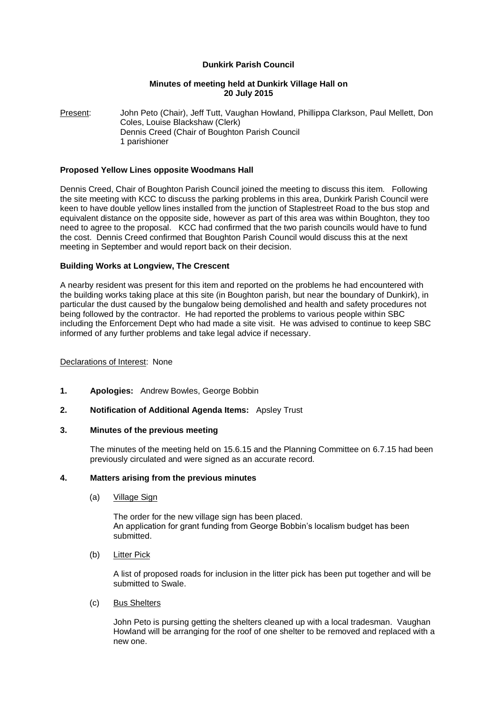# **Dunkirk Parish Council**

## **Minutes of meeting held at Dunkirk Village Hall on 20 July 2015**

Present: John Peto (Chair), Jeff Tutt, Vaughan Howland, Phillippa Clarkson, Paul Mellett, Don Coles, Louise Blackshaw (Clerk) Dennis Creed (Chair of Boughton Parish Council 1 parishioner

## **Proposed Yellow Lines opposite Woodmans Hall**

Dennis Creed, Chair of Boughton Parish Council joined the meeting to discuss this item. Following the site meeting with KCC to discuss the parking problems in this area, Dunkirk Parish Council were keen to have double yellow lines installed from the junction of Staplestreet Road to the bus stop and equivalent distance on the opposite side, however as part of this area was within Boughton, they too need to agree to the proposal. KCC had confirmed that the two parish councils would have to fund the cost. Dennis Creed confirmed that Boughton Parish Council would discuss this at the next meeting in September and would report back on their decision.

## **Building Works at Longview, The Crescent**

A nearby resident was present for this item and reported on the problems he had encountered with the building works taking place at this site (in Boughton parish, but near the boundary of Dunkirk), in particular the dust caused by the bungalow being demolished and health and safety procedures not being followed by the contractor. He had reported the problems to various people within SBC including the Enforcement Dept who had made a site visit. He was advised to continue to keep SBC informed of any further problems and take legal advice if necessary.

## Declarations of Interest: None

- **1. Apologies:** Andrew Bowles, George Bobbin
- **2. Notification of Additional Agenda Items:** Apsley Trust

## **3. Minutes of the previous meeting**

The minutes of the meeting held on 15.6.15 and the Planning Committee on 6.7.15 had been previously circulated and were signed as an accurate record.

## **4. Matters arising from the previous minutes**

(a) Village Sign

The order for the new village sign has been placed. An application for grant funding from George Bobbin's localism budget has been submitted.

## (b) Litter Pick

A list of proposed roads for inclusion in the litter pick has been put together and will be submitted to Swale.

# (c) Bus Shelters

John Peto is pursing getting the shelters cleaned up with a local tradesman. Vaughan Howland will be arranging for the roof of one shelter to be removed and replaced with a new one.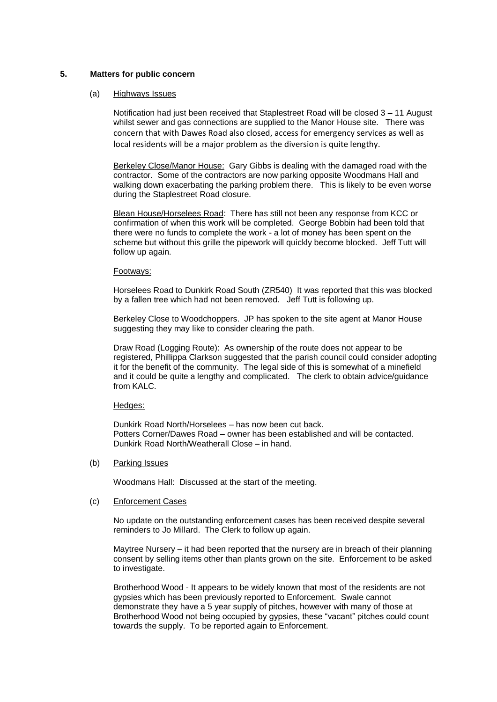## **5. Matters for public concern**

### (a) Highways Issues

Notification had just been received that Staplestreet Road will be closed 3 – 11 August whilst sewer and gas connections are supplied to the Manor House site. There was concern that with Dawes Road also closed, access for emergency services as well as local residents will be a major problem as the diversion is quite lengthy.

Berkeley Close/Manor House: Gary Gibbs is dealing with the damaged road with the contractor. Some of the contractors are now parking opposite Woodmans Hall and walking down exacerbating the parking problem there. This is likely to be even worse during the Staplestreet Road closure.

Blean House/Horselees Road: There has still not been any response from KCC or confirmation of when this work will be completed. George Bobbin had been told that there were no funds to complete the work - a lot of money has been spent on the scheme but without this grille the pipework will quickly become blocked. Jeff Tutt will follow up again.

### Footways:

Horselees Road to Dunkirk Road South (ZR540) It was reported that this was blocked by a fallen tree which had not been removed. Jeff Tutt is following up.

Berkeley Close to Woodchoppers. JP has spoken to the site agent at Manor House suggesting they may like to consider clearing the path.

Draw Road (Logging Route): As ownership of the route does not appear to be registered, Phillippa Clarkson suggested that the parish council could consider adopting it for the benefit of the community. The legal side of this is somewhat of a minefield and it could be quite a lengthy and complicated. The clerk to obtain advice/guidance from KALC.

#### Hedges:

Dunkirk Road North/Horselees – has now been cut back. Potters Corner/Dawes Road – owner has been established and will be contacted. Dunkirk Road North/Weatherall Close – in hand.

(b) Parking Issues

Woodmans Hall: Discussed at the start of the meeting.

### (c) Enforcement Cases

No update on the outstanding enforcement cases has been received despite several reminders to Jo Millard. The Clerk to follow up again.

Maytree Nursery – it had been reported that the nursery are in breach of their planning consent by selling items other than plants grown on the site. Enforcement to be asked to investigate.

Brotherhood Wood - It appears to be widely known that most of the residents are not gypsies which has been previously reported to Enforcement. Swale cannot demonstrate they have a 5 year supply of pitches, however with many of those at Brotherhood Wood not being occupied by gypsies, these "vacant" pitches could count towards the supply. To be reported again to Enforcement.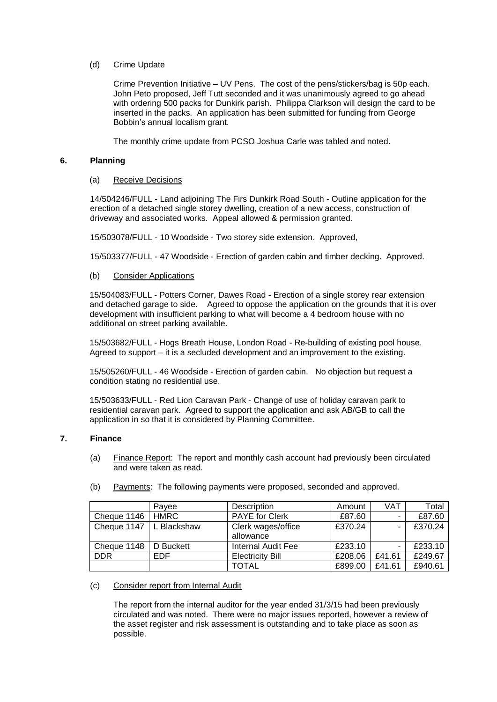## (d) Crime Update

Crime Prevention Initiative – UV Pens. The cost of the pens/stickers/bag is 50p each. John Peto proposed, Jeff Tutt seconded and it was unanimously agreed to go ahead with ordering 500 packs for Dunkirk parish. Philippa Clarkson will design the card to be inserted in the packs. An application has been submitted for funding from George Bobbin's annual localism grant.

The monthly crime update from PCSO Joshua Carle was tabled and noted.

# **6. Planning**

## (a) Receive Decisions

14/504246/FULL - Land adjoining The Firs Dunkirk Road South - Outline application for the erection of a detached single storey dwelling, creation of a new access, construction of driveway and associated works. Appeal allowed & permission granted.

15/503078/FULL - 10 Woodside - Two storey side extension. Approved,

15/503377/FULL - 47 Woodside - Erection of garden cabin and timber decking. Approved.

## (b) Consider Applications

15/504083/FULL - Potters Corner, Dawes Road - Erection of a single storey rear extension and detached garage to side. Agreed to oppose the application on the grounds that it is over development with insufficient parking to what will become a 4 bedroom house with no additional on street parking available.

15/503682/FULL - Hogs Breath House, London Road - Re-building of existing pool house. Agreed to support – it is a secluded development and an improvement to the existing.

15/505260/FULL - 46 Woodside - Erection of garden cabin. No objection but request a condition stating no residential use.

15/503633/FULL - Red Lion Caravan Park - Change of use of holiday caravan park to residential caravan park. Agreed to support the application and ask AB/GB to call the application in so that it is considered by Planning Committee.

## **7. Finance**

(a) Finance Report: The report and monthly cash account had previously been circulated and were taken as read.

|  | (b) Payments: The following payments were proposed, seconded and approved. |
|--|----------------------------------------------------------------------------|
|  |                                                                            |

|                           | Pavee      | Description             | Amount  | VAT                      | Total   |
|---------------------------|------------|-------------------------|---------|--------------------------|---------|
| Cheque $1146$   HMRC      |            | <b>PAYE</b> for Clerk   | £87.60  | $\overline{\phantom{a}}$ | £87.60  |
| Cheque 1147   L Blackshaw |            | Clerk wages/office      | £370.24 |                          | £370.24 |
|                           |            | allowance               |         |                          |         |
| Cheque 1148   D Buckett   |            | Internal Audit Fee      | £233.10 |                          | £233.10 |
| <b>DDR</b>                | <b>EDF</b> | <b>Electricity Bill</b> | £208.06 | £41.61                   | £249.67 |
|                           |            | <b>TOTAL</b>            | £899.00 | £41.61                   | £940.61 |

#### (c) Consider report from Internal Audit

The report from the internal auditor for the year ended 31/3/15 had been previously circulated and was noted. There were no major issues reported, however a review of the asset register and risk assessment is outstanding and to take place as soon as possible.